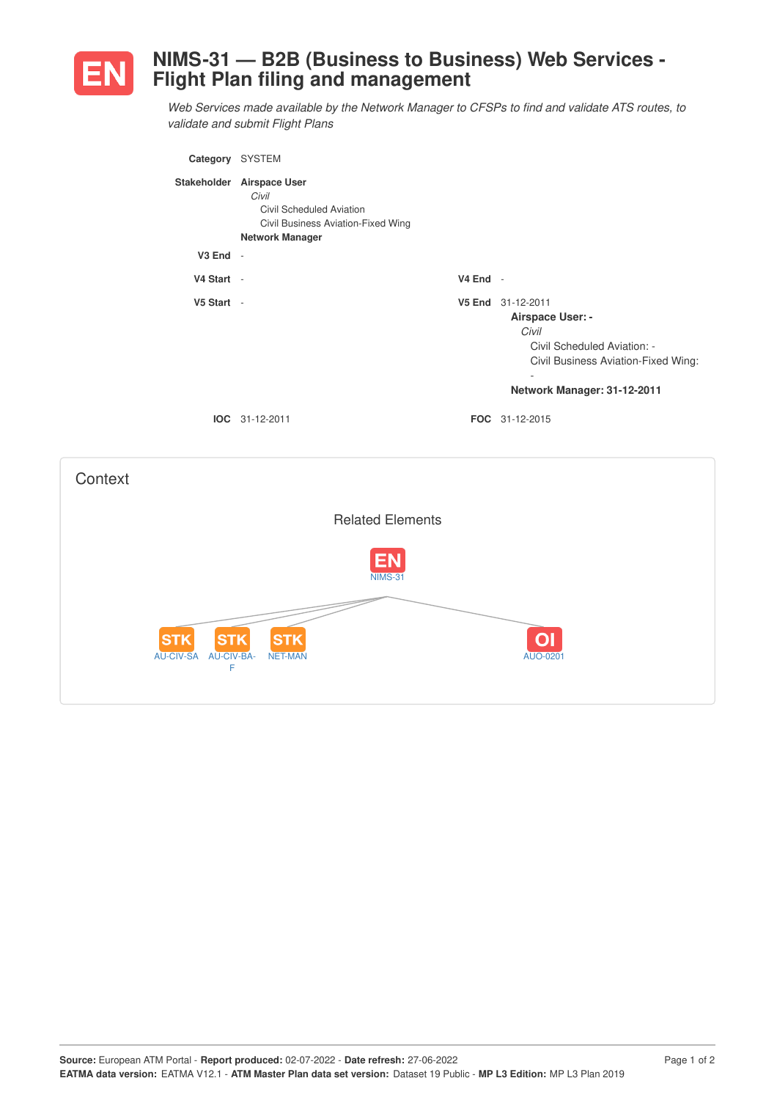

## **NIMS-31 — B2B (Business to Business) Web Services - Flight Plan filing and management**

*Web Services made available by the Network Manager to CFSPs to find and validate ATS routes, to validate and submit Flight Plans*